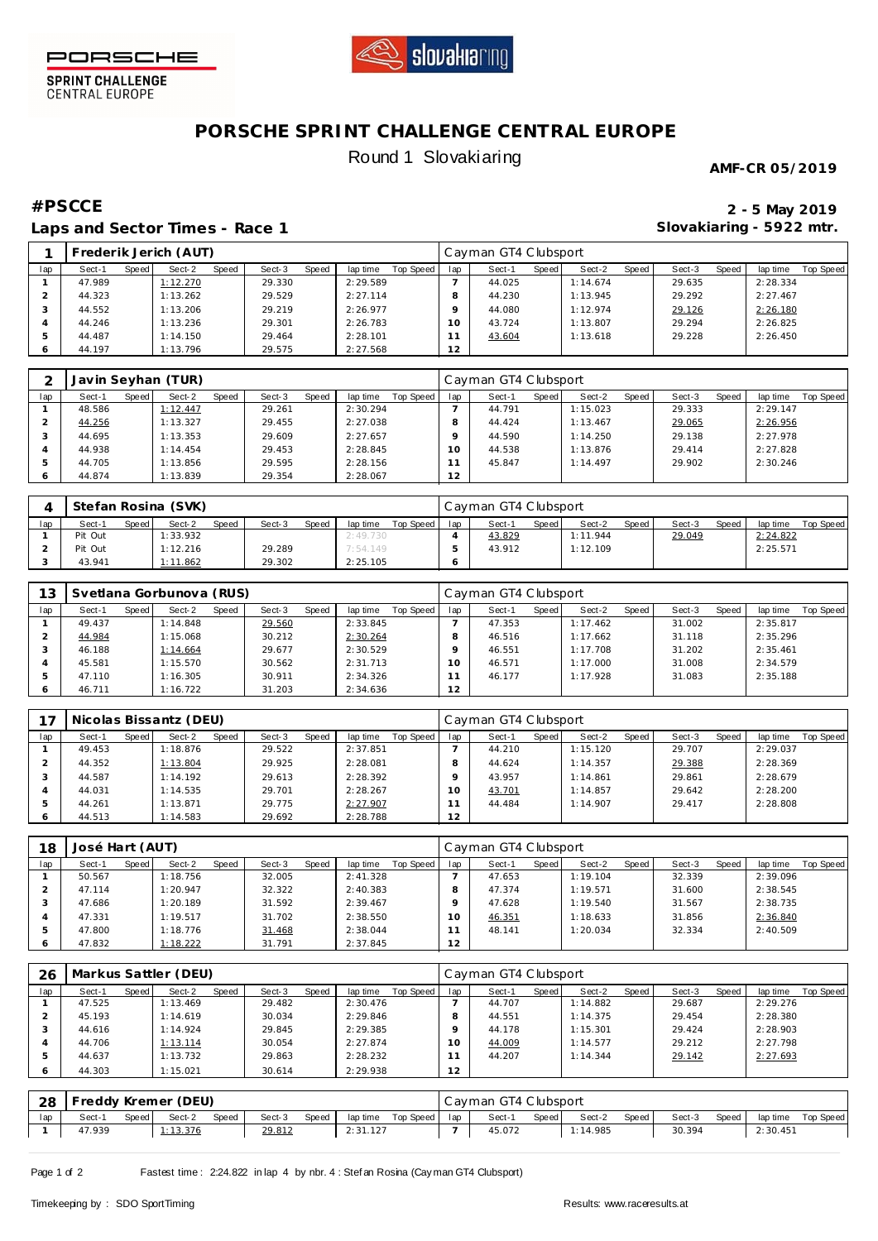



SPRINT CHALLENGE<br>CENTRAL EUROPE

# **PORSCHE SPRINT CHALLENGE CENTRAL EUROPE** Round 1 Slovakiaring

**AMF-CR 05/2019**

## **#PSCCE 2 - 5 May 2019 Laps and Sector Times - Race 1**

**Slovakiaring - 5922 mtr.**

|     |        |       | Frederik Jerich (AUT) |       |        |       |          |           |                 | Cayman GT4 Clubsport |       |          |       |        |       |          |           |
|-----|--------|-------|-----------------------|-------|--------|-------|----------|-----------|-----------------|----------------------|-------|----------|-------|--------|-------|----------|-----------|
| lap | Sect-1 | Speed | Sect-2                | Speed | Sect-3 | Speed | lap time | Top Speed | lap             | Sect-1               | Speed | Sect-2   | Speed | Sect-3 | Speed | lap time | Top Speed |
|     | 47.989 |       | 1:12.270              |       | 29.330 |       | 2:29.589 |           |                 | 44.025               |       | 1:14.674 |       | 29.635 |       | 2:28.334 |           |
|     | 44.323 |       | 1:13.262              |       | 29.529 |       | 2:27.114 |           |                 | 44.230               |       | 1:13.945 |       | 29.292 |       | 2:27.467 |           |
|     | 44.552 |       | 1:13.206              |       | 29.219 |       | 2:26.977 |           |                 | 44.080               |       | 1:12.974 |       | 29.126 |       | 2:26.180 |           |
|     | 44.246 |       | 1:13.236              |       | 29.301 |       | 2:26.783 |           | 10 <sup>°</sup> | 43.724               |       | 1:13.807 |       | 29.294 |       | 2:26.825 |           |
|     | 44.487 |       | 1:14.150              |       | 29.464 |       | 2:28.101 |           |                 | 43.604               |       | 1:13.618 |       | 29.228 |       | 2:26.450 |           |
|     | 44.197 |       | 1:13.796              |       | 29.575 |       | 2:27.568 |           | 12              |                      |       |          |       |        |       |          |           |

|     |        |       | Javin Seyhan (TUR) |       |        |       |          |           |     | Cayman GT4 Clubsport |         |          |       |        |       |          |           |
|-----|--------|-------|--------------------|-------|--------|-------|----------|-----------|-----|----------------------|---------|----------|-------|--------|-------|----------|-----------|
| lap | Sect-1 | Speed | Sect-2             | Speed | Sect-3 | Speed | lap time | Top Speed | lap | Sect-1               | Speed I | Sect-2   | Speed | Sect-3 | Speed | lap time | Top Speed |
|     | 48.586 |       | 1:12.447           |       | 29.261 |       | 2:30.294 |           |     | 44.791               |         | 1:15.023 |       | 29.333 |       | 2:29.147 |           |
|     | 44.256 |       | 1:13.327           |       | 29.455 |       | 2:27.038 |           |     | 44.424               |         | 1:13.467 |       | 29.065 |       | 2:26.956 |           |
|     | 44.695 |       | 1:13.353           |       | 29.609 |       | 2:27.657 |           |     | 44.590               |         | 1:14.250 |       | 29.138 |       | 2:27.978 |           |
|     | 44.938 |       | 1:14.454           |       | 29.453 |       | 2:28.845 |           |     | 44.538               |         | 1:13.876 |       | 29.414 |       | 2:27.828 |           |
|     | 44.705 |       | 1:13.856           |       | 29.595 |       | 2:28.156 |           |     | 45.847               |         | 1:14.497 |       | 29.902 |       | 2:30.246 |           |
|     | 44.874 |       | 1:13.839           |       | 29.354 |       | 2:28.067 |           | 12  |                      |         |          |       |        |       |          |           |

|     |         |       | Stefan Rosina (SVK) |              |        |       |          |           |     | Cayman GT4 Clubsport |       |          |       |        |       |          |           |
|-----|---------|-------|---------------------|--------------|--------|-------|----------|-----------|-----|----------------------|-------|----------|-------|--------|-------|----------|-----------|
| lap | Sect-1  | Speed | Sect-2              | <b>Speed</b> | Sect-3 | Speed | lap time | Top Speed | lap | Sect-1               | Speed | Sect-2   | Speed | Sect-3 | Speed | lap time | Top Speed |
|     | Pit Out |       | 1:33.932            |              |        |       | 2:49.730 |           |     | 43.829               |       | 1:11.944 |       | 29.049 |       | 2:24.822 |           |
|     | Pit Out |       | 1:12.216            |              | 29.289 |       | 7:54.149 |           |     | 43.912               |       | 1:12.109 |       |        |       | 2:25.571 |           |
|     | 43.941  |       | 1:11.862            |              | 29.302 |       | 2:25.105 |           |     |                      |       |          |       |        |       |          |           |

| 13  |        |       | Svetlana Gorbunova (RUS) |       |        |       |          |           |                 | Cayman GT4 Clubsport |       |          |       |        |       |          |           |
|-----|--------|-------|--------------------------|-------|--------|-------|----------|-----------|-----------------|----------------------|-------|----------|-------|--------|-------|----------|-----------|
| lap | Sect-1 | Speed | Sect-2                   | Speed | Sect-3 | Speed | lap time | Top Speed | lap             | Sect-1               | Speed | Sect-2   | Speed | Sect-3 | Speed | lap time | Top Speed |
|     | 49.437 |       | 1:14.848                 |       | 29.560 |       | 2:33.845 |           |                 | 47.353               |       | 1:17.462 |       | 31.002 |       | 2:35.817 |           |
|     | 44.984 |       | 1:15.068                 |       | 30.212 |       | 2:30.264 |           |                 | 46.516               |       | 1:17.662 |       | 31.118 |       | 2:35.296 |           |
|     | 46.188 |       | 1:14.664                 |       | 29.677 |       | 2:30.529 |           |                 | 46.551               |       | 1:17.708 |       | 31.202 |       | 2:35.461 |           |
|     | 45.581 |       | 1:15.570                 |       | 30.562 |       | 2:31.713 |           | 10 <sup>°</sup> | 46.571               |       | 1:17.000 |       | 31.008 |       | 2:34.579 |           |
|     | 47.110 |       | 1:16.305                 |       | 30.911 |       | 2:34.326 |           |                 | 46.177               |       | 1:17.928 |       | 31.083 |       | 2:35.188 |           |
|     | 46.711 |       | 1:16.722                 |       | 31.203 |       | 2:34.636 |           | 12              |                      |       |          |       |        |       |          |           |

|     |        |         | Nicolas Bissantz (DEU) |       |        |       |          |           |     | Cayman GT4 Clubsport |         |          |       |        |       |          |           |
|-----|--------|---------|------------------------|-------|--------|-------|----------|-----------|-----|----------------------|---------|----------|-------|--------|-------|----------|-----------|
| lap | Sect-1 | Speed I | Sect-2                 | Speed | Sect-3 | Speed | lap time | Top Speed | lap | Sect-1               | Speed I | Sect-2   | Speed | Sect-3 | Speed | lap time | Top Speed |
|     | 49.453 |         | 1:18.876               |       | 29.522 |       | 2:37.851 |           |     | 44.210               |         | 1:15.120 |       | 29.707 |       | 2:29.037 |           |
|     | 44.352 |         | 1:13.804               |       | 29.925 |       | 2:28.081 |           |     | 44.624               |         | 1:14.357 |       | 29.388 |       | 2:28.369 |           |
|     | 44.587 |         | 1:14.192               |       | 29.613 |       | 2:28.392 |           |     | 43.957               |         | 1:14.861 |       | 29.861 |       | 2:28.679 |           |
|     | 44.031 |         | 1:14.535               |       | 29.701 |       | 2:28.267 |           | 10  | 43.701               |         | 1:14.857 |       | 29.642 |       | 2:28.200 |           |
|     | 44.261 |         | 1:13.871               |       | 29.775 |       | 2:27.907 |           |     | 44.484               |         | 1:14.907 |       | 29.417 |       | 2:28.808 |           |
| 6   | 44.513 |         | 1:14.583               |       | 29.692 |       | 2:28.788 |           | 12  |                      |         |          |       |        |       |          |           |

| 18      | José Hart (AUT) |       |          |       |        |       |          |           |     | Cayman GT4 Clubsport |       |          |       |        |       |          |           |
|---------|-----------------|-------|----------|-------|--------|-------|----------|-----------|-----|----------------------|-------|----------|-------|--------|-------|----------|-----------|
| lap     | Sect-1          | Speed | Sect-2   | Speed | Sect-3 | Speed | lap time | Top Speed | lap | Sect-1               | Speed | Sect-2   | Speed | Sect-3 | Speed | lap time | Top Speed |
|         | 50.567          |       | 1:18.756 |       | 32.005 |       | 2:41.328 |           |     | 47.653               |       | 1:19.104 |       | 32.339 |       | 2:39.096 |           |
|         | 47.114          |       | 1:20.947 |       | 32.322 |       | 2:40.383 |           |     | 47.374               |       | 1:19.571 |       | 31.600 |       | 2:38.545 |           |
|         | 47.686          |       | 1:20.189 |       | 31.592 |       | 2:39.467 |           |     | 47.628               |       | 1:19.540 |       | 31.567 |       | 2:38.735 |           |
|         | 47.331          |       | 1:19.517 |       | 31.702 |       | 2:38.550 |           | 10  | 46.351               |       | 1:18.633 |       | 31.856 |       | 2:36.840 |           |
|         | 47.800          |       | 1:18.776 |       | 31.468 |       | 2:38.044 |           |     | 48.141               |       | 1:20.034 |       | 32.334 |       | 2:40.509 |           |
| $\circ$ | 47.832          |       | 1:18.222 |       | 31.791 |       | 2:37.845 |           | 12  |                      |       |          |       |        |       |          |           |

| 26  |        |       | Markus Sattler (DEU) |       |        |       |          |           |                 | Cayman GT4 Clubsport |       |          |       |        |       |          |           |
|-----|--------|-------|----------------------|-------|--------|-------|----------|-----------|-----------------|----------------------|-------|----------|-------|--------|-------|----------|-----------|
| lap | Sect-1 | Speed | Sect-2               | Speed | Sect-3 | Speed | lap time | Top Speed | lap             | Sect-1               | Speed | Sect-2   | Speed | Sect-3 | Speed | lap time | Top Speed |
|     | 47.525 |       | 1:13.469             |       | 29.482 |       | 2:30.476 |           |                 | 44.707               |       | 1:14.882 |       | 29.687 |       | 2:29.276 |           |
|     | 45.193 |       | 1:14.619             |       | 30.034 |       | 2:29.846 |           |                 | 44.551               |       | 1:14.375 |       | 29.454 |       | 2:28.380 |           |
|     | 44.616 |       | 1:14.924             |       | 29.845 |       | 2:29.385 |           |                 | 44.178               |       | 1:15.301 |       | 29.424 |       | 2:28.903 |           |
|     | 44.706 |       | 1:13.114             |       | 30.054 |       | 2:27.874 |           | 10 <sup>°</sup> | 44.009               |       | 1:14.577 |       | 29.212 |       | 2:27.798 |           |
|     | 44.637 |       | 1:13.732             |       | 29.863 |       | 2:28.232 |           |                 | 44.207               |       | 1:14.344 |       | 29.142 |       | 2:27.693 |           |
|     | 44.303 |       | 1:15.021             |       | 30.614 |       | 2:29.938 |           | 12              |                      |       |          |       |        |       |          |           |

| -28 | l Freddy Kremer (DEU). |       |        |       |        |         |          |           |     | Cayman GT4 Clubsport |       |          |       |        |       |          |           |
|-----|------------------------|-------|--------|-------|--------|---------|----------|-----------|-----|----------------------|-------|----------|-------|--------|-------|----------|-----------|
| lap | Sect-1                 | Speed | Sect-2 | Speed | Sect-3 | Speed ' | lap time | Top Speed | lap | Sect-1               | Speed | Sect-2   | Speed | Sect-3 | Speed | lap time | Top Speed |
|     | 47.939                 |       | 13.376 |       | 29.812 |         | 2:31.127 |           |     | 45.072               |       | 1:14.985 |       | 30.394 |       | 2:30.451 |           |